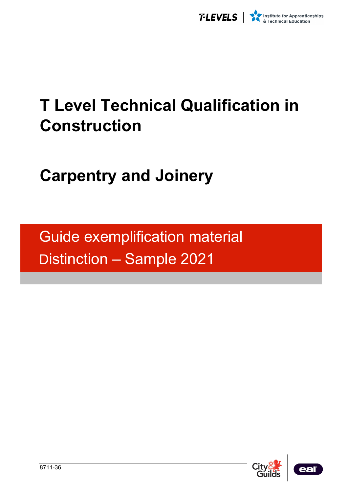

# **T Level Technical Qualification in Construction**

# **Carpentry and Joinery**

Guide exemplification material Distinction – Sample 2021



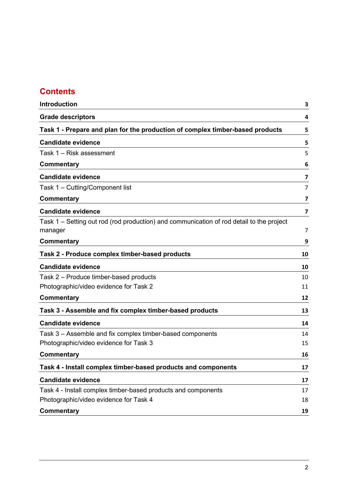# **Contents**

| Introduction                                                                                        | 3  |
|-----------------------------------------------------------------------------------------------------|----|
| <b>Grade descriptors</b>                                                                            | 4  |
| Task 1 - Prepare and plan for the production of complex timber-based products                       | 5  |
| <b>Candidate evidence</b>                                                                           | 5  |
| Task 1 – Risk assessment                                                                            | 5  |
| Commentary                                                                                          | 6  |
| <b>Candidate evidence</b>                                                                           | 7  |
| Task 1 - Cutting/Component list                                                                     | 7  |
| <b>Commentary</b>                                                                                   | 7  |
| <b>Candidate evidence</b>                                                                           | 7  |
| Task 1 – Setting out rod (rod production) and communication of rod detail to the project<br>manager | 7  |
| <b>Commentary</b>                                                                                   | 9  |
| Task 2 - Produce complex timber-based products                                                      | 10 |
| <b>Candidate evidence</b>                                                                           | 10 |
| Task 2 – Produce timber-based products                                                              | 10 |
| Photographic/video evidence for Task 2                                                              | 11 |
| <b>Commentary</b>                                                                                   | 12 |
| Task 3 - Assemble and fix complex timber-based products                                             | 13 |
| <b>Candidate evidence</b>                                                                           | 14 |
| Task 3 – Assemble and fix complex timber-based components                                           | 14 |
| Photographic/video evidence for Task 3                                                              | 15 |
| <b>Commentary</b>                                                                                   | 16 |
| Task 4 - Install complex timber-based products and components                                       | 17 |
| <b>Candidate evidence</b>                                                                           | 17 |
| Task 4 - Install complex timber-based products and components                                       | 17 |
| Photographic/video evidence for Task 4                                                              | 18 |
| <b>Commentary</b>                                                                                   | 19 |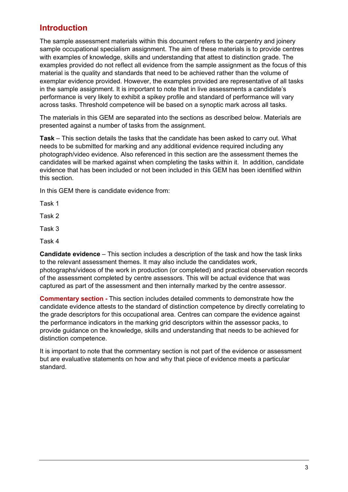## <span id="page-2-0"></span>**Introduction**

The sample assessment materials within this document refers to the carpentry and joinery sample occupational specialism assignment. The aim of these materials is to provide centres with examples of knowledge, skills and understanding that attest to distinction grade. The examples provided do not reflect all evidence from the sample assignment as the focus of this material is the quality and standards that need to be achieved rather than the volume of exemplar evidence provided. However, the examples provided are representative of all tasks in the sample assignment. It is important to note that in live assessments a candidate's performance is very likely to exhibit a spikey profile and standard of performance will vary across tasks. Threshold competence will be based on a synoptic mark across all tasks.

The materials in this GEM are separated into the sections as described below. Materials are presented against a number of tasks from the assignment.

**Task** – This section details the tasks that the candidate has been asked to carry out. What needs to be submitted for marking and any additional evidence required including any photograph/video evidence. Also referenced in this section are the assessment themes the candidates will be marked against when completing the tasks within it. In addition, candidate evidence that has been included or not been included in this GEM has been identified within this section.

In this GEM there is candidate evidence from:

Task 1

Task 2

Task 3

Task 4

**Candidate evidence** – This section includes a description of the task and how the task links to the relevant assessment themes. It may also include the candidates work, photographs/videos of the work in production (or completed) and practical observation records of the assessment completed by centre assessors. This will be actual evidence that was captured as part of the assessment and then internally marked by the centre assessor.

**Commentary section -** This section includes detailed comments to demonstrate how the candidate evidence attests to the standard of distinction competence by directly correlating to the grade descriptors for this occupational area. Centres can compare the evidence against the performance indicators in the marking grid descriptors within the assessor packs, to provide guidance on the knowledge, skills and understanding that needs to be achieved for distinction competence.

It is important to note that the commentary section is not part of the evidence or assessment but are evaluative statements on how and why that piece of evidence meets a particular standard.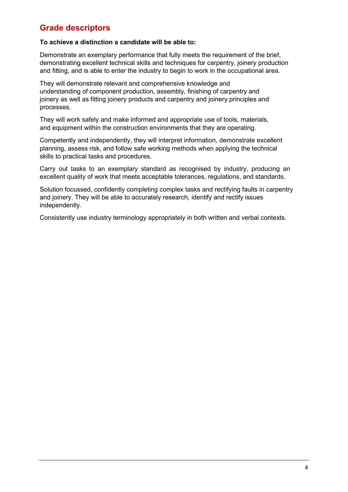## <span id="page-3-0"></span>**Grade descriptors**

#### **To achieve a distinction a candidate will be able to:**

Demonstrate an exemplary performance that fully meets the requirement of the brief, demonstrating excellent technical skills and techniques for carpentry, joinery production and fitting, and is able to enter the industry to begin to work in the occupational area.

They will demonstrate relevant and comprehensive knowledge and understanding of component production, assembly, finishing of carpentry and joinery as well as fitting joinery products and carpentry and joinery principles and processes.

They will work safely and make informed and appropriate use of tools, materials, and equipment within the construction environments that they are operating.

Competently and independently, they will interpret information, demonstrate excellent planning, assess risk, and follow safe working methods when applying the technical skills to practical tasks and procedures.

Carry out tasks to an exemplary standard as recognised by industry, producing an excellent quality of work that meets acceptable tolerances, regulations, and standards.

Solution focussed, confidently completing complex tasks and rectifying faults in carpentry and joinery. They will be able to accurately research, identify and rectify issues independently.

Consistently use industry terminology appropriately in both written and verbal contexts.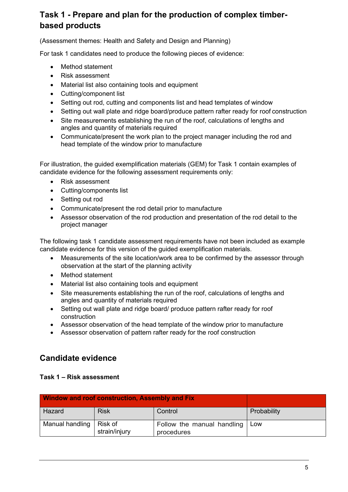# <span id="page-4-0"></span>**Task 1 - Prepare and plan for the production of complex timberbased products**

(Assessment themes: Health and Safety and Design and Planning)

For task 1 candidates need to produce the following pieces of evidence:

- Method statement
- Risk assessment
- Material list also containing tools and equipment
- Cutting/component list
- Setting out rod, cutting and components list and head templates of window
- Setting out wall plate and ridge board/produce pattern rafter ready for roof construction
- Site measurements establishing the run of the roof, calculations of lengths and angles and quantity of materials required
- Communicate/present the work plan to the project manager including the rod and head template of the window prior to manufacture

For illustration, the guided exemplification materials (GEM) for Task 1 contain examples of candidate evidence for the following assessment requirements only:

- Risk assessment
- Cutting/components list
- Setting out rod
- Communicate/present the rod detail prior to manufacture
- Assessor observation of the rod production and presentation of the rod detail to the project manager

The following task 1 candidate assessment requirements have not been included as example candidate evidence for this version of the guided exemplification materials.

- Measurements of the site location/work area to be confirmed by the assessor through observation at the start of the planning activity
- Method statement
- Material list also containing tools and equipment
- Site measurements establishing the run of the roof, calculations of lengths and angles and quantity of materials required
- Setting out wall plate and ridge board/ produce pattern rafter ready for roof construction
- Assessor observation of the head template of the window prior to manufacture
- Assessor observation of pattern rafter ready for the roof construction

## <span id="page-4-1"></span>**Candidate evidence**

<span id="page-4-2"></span>**Task 1 – Risk assessment** 

| <b>Window and roof construction, Assembly and Fix</b> |                          |                                          |             |
|-------------------------------------------------------|--------------------------|------------------------------------------|-------------|
| Hazard                                                | <b>Risk</b>              | Control                                  | Probability |
| Manual handling                                       | Risk of<br>strain/injury | Follow the manual handling<br>procedures | Low         |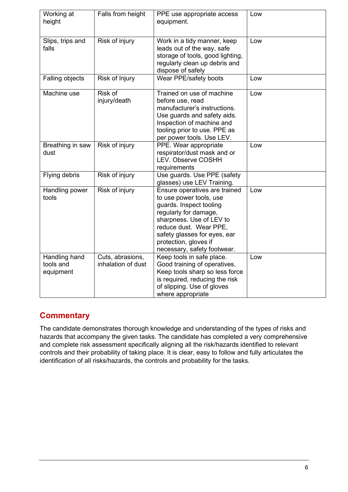| Working at<br>height                    | Falls from height                      | PPE use appropriate access<br>equipment.                                                                                                                                                                                                                   | Low |
|-----------------------------------------|----------------------------------------|------------------------------------------------------------------------------------------------------------------------------------------------------------------------------------------------------------------------------------------------------------|-----|
| Slips, trips and<br>falls               | Risk of injury                         | Work in a tidy manner, keep<br>leads out of the way, safe<br>storage of tools, good lighting,<br>regularly clean up debris and<br>dispose of safely                                                                                                        | Low |
| Falling objects                         | Risk of Injury                         | Wear PPE/safety boots                                                                                                                                                                                                                                      | Low |
| Machine use                             | Risk of<br>injury/death                | Trained on use of machine<br>before use, read<br>manufacturer's instructions.<br>Use guards and safety aids.<br>Inspection of machine and<br>tooling prior to use. PPE as<br>per power tools. Use LEV.                                                     | Low |
| Breathing in saw<br>dust                | Risk of injury                         | PPE. Wear appropriate<br>respirator/dust mask and or<br><b>LEV. Observe COSHH</b><br>requirements                                                                                                                                                          | Low |
| Flying debris                           | Risk of injury                         | Use guards. Use PPE (safety<br>glasses) use LEV Training.                                                                                                                                                                                                  |     |
| Handling power<br>tools                 | Risk of injury                         | Ensure operatives are trained<br>to use power tools, use<br>guards. Inspect tooling<br>regularly for damage,<br>sharpness. Use of LEV to<br>reduce dust. Wear PPE,<br>safety glasses for eyes, ear<br>protection, gloves if<br>necessary, safety footwear. | Low |
| Handling hand<br>tools and<br>equipment | Cuts, abrasions,<br>inhalation of dust | Keep tools in safe place.<br>Good training of operatives.<br>Keep tools sharp so less force<br>is required, reducing the risk<br>of slipping. Use of gloves<br>where appropriate                                                                           | Low |

## <span id="page-5-0"></span>**Commentary**

The candidate demonstrates thorough knowledge and understanding of the types of risks and hazards that accompany the given tasks. The candidate has completed a very comprehensive and complete risk assessment specifically aligning all the risk/hazards identified to relevant controls and their probability of taking place. It is clear, easy to follow and fully articulates the identification of all risks/hazards, the controls and probability for the tasks.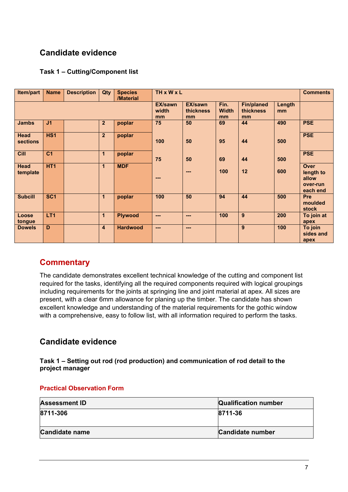# <span id="page-6-0"></span>**Candidate evidence**

### <span id="page-6-1"></span>**Task 1 – Cutting/Component list**

| Item/part               | <b>Name</b>     | <b>Description</b> | Qty            | <b>Species</b><br>/Material | <b>TH x W x L</b>             |                              |                            |                                      |              | <b>Comments</b>                                           |
|-------------------------|-----------------|--------------------|----------------|-----------------------------|-------------------------------|------------------------------|----------------------------|--------------------------------------|--------------|-----------------------------------------------------------|
|                         |                 |                    |                |                             | <b>EX/sawn</b><br>width<br>mm | EX/sawn<br>thickness<br>mm   | Fin.<br><b>Width</b><br>mm | <b>Fin/planed</b><br>thickness<br>mm | Length<br>mm |                                                           |
| <b>Jambs</b>            | J <sub>1</sub>  |                    | $\overline{2}$ | poplar                      | 75                            | 50                           | 69                         | 44                                   | 490          | <b>PSE</b>                                                |
| Head<br><b>sections</b> | HS <sub>1</sub> |                    | $\overline{2}$ | poplar                      | 100                           | 50                           | 95                         | 44                                   | 500          | <b>PSE</b>                                                |
| Cill                    | C <sub>1</sub>  |                    | $\mathbf{1}$   | poplar                      | 75                            | 50                           | 69                         | 44                                   | 500          | <b>PSE</b>                                                |
| Head<br>template        | HT <sub>1</sub> |                    | $\mathbf{1}$   | <b>MDF</b>                  | $\overline{a}$                | $\qquad \qquad \blacksquare$ | 100                        | 12                                   | 600          | <b>Over</b><br>length to<br>allow<br>over-run<br>each end |
| <b>Subcill</b>          | SC <sub>1</sub> |                    | $\mathbf{1}$   | poplar                      | 100                           | 50                           | 94                         | 44                                   | 500          | Pre<br>moulded<br>stock                                   |
| Loose<br>tongue         | LT <sub>1</sub> |                    | $\mathbf{1}$   | <b>Plywood</b>              | $---$                         | $---$                        | 100                        | 9                                    | 200          | To join at<br>apex                                        |
| <b>Dowels</b>           | D               |                    | $\overline{4}$ | <b>Hardwood</b>             | $---$                         | $---$                        |                            | 9                                    | 100          | To join<br>sides and<br>apex                              |

## <span id="page-6-2"></span>**Commentary**

The candidate demonstrates excellent technical knowledge of the cutting and component list required for the tasks, identifying all the required components required with logical groupings including requirements for the joints at springing line and joint material at apex. All sizes are present, with a clear 6mm allowance for planing up the timber. The candidate has shown excellent knowledge and understanding of the material requirements for the gothic window with a comprehensive, easy to follow list, with all information required to perform the tasks.

## <span id="page-6-3"></span>**Candidate evidence**

<span id="page-6-4"></span>**Task 1 – Setting out rod (rod production) and communication of rod detail to the project manager**

#### **Practical Observation Form**

| <b>Assessment ID</b>  | <b>Qualification number</b> |
|-----------------------|-----------------------------|
| 8711-306              | 8711-36                     |
| <b>Candidate name</b> | Candidate number            |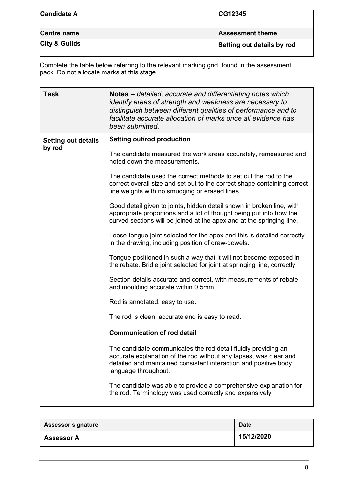| <b>Candidate A</b>       | CG12345                    |
|--------------------------|----------------------------|
|                          |                            |
| Centre name              | <b>Assessment theme</b>    |
| <b>City &amp; Guilds</b> | Setting out details by rod |

| <b>Task</b>                | Notes – detailed, accurate and differentiating notes which<br>identify areas of strength and weakness are necessary to<br>distinguish between different qualities of performance and to<br>facilitate accurate allocation of marks once all evidence has<br>been submitted. |
|----------------------------|-----------------------------------------------------------------------------------------------------------------------------------------------------------------------------------------------------------------------------------------------------------------------------|
| <b>Setting out details</b> | Setting out/rod production                                                                                                                                                                                                                                                  |
| by rod                     | The candidate measured the work areas accurately, remeasured and<br>noted down the measurements.                                                                                                                                                                            |
|                            | The candidate used the correct methods to set out the rod to the<br>correct overall size and set out to the correct shape containing correct<br>line weights with no smudging or erased lines.                                                                              |
|                            | Good detail given to joints, hidden detail shown in broken line, with<br>appropriate proportions and a lot of thought being put into how the<br>curved sections will be joined at the apex and at the springing line.                                                       |
|                            | Loose tongue joint selected for the apex and this is detailed correctly<br>in the drawing, including position of draw-dowels.                                                                                                                                               |
|                            | Tongue positioned in such a way that it will not become exposed in<br>the rebate. Bridle joint selected for joint at springing line, correctly.                                                                                                                             |
|                            | Section details accurate and correct, with measurements of rebate<br>and moulding accurate within 0.5mm                                                                                                                                                                     |
|                            | Rod is annotated, easy to use.                                                                                                                                                                                                                                              |
|                            | The rod is clean, accurate and is easy to read.                                                                                                                                                                                                                             |
|                            | <b>Communication of rod detail</b>                                                                                                                                                                                                                                          |
|                            | The candidate communicates the rod detail fluidly providing an<br>accurate explanation of the rod without any lapses, was clear and<br>detailed and maintained consistent interaction and positive body<br>language throughout.                                             |
|                            | The candidate was able to provide a comprehensive explanation for<br>the rod. Terminology was used correctly and expansively.                                                                                                                                               |

| <b>Assessor signature</b> | <b>Date</b> |
|---------------------------|-------------|
| <b>Assessor A</b>         | 15/12/2020  |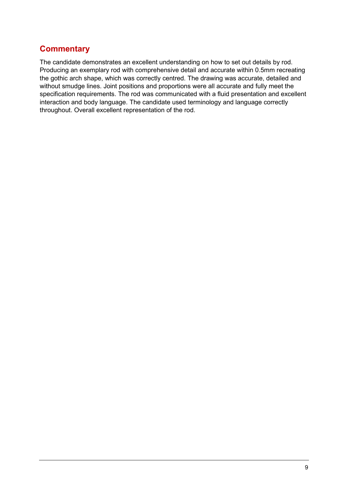# <span id="page-8-0"></span>**Commentary**

The candidate demonstrates an excellent understanding on how to set out details by rod. Producing an exemplary rod with comprehensive detail and accurate within 0.5mm recreating the gothic arch shape, which was correctly centred. The drawing was accurate, detailed and without smudge lines. Joint positions and proportions were all accurate and fully meet the specification requirements. The rod was communicated with a fluid presentation and excellent interaction and body language. The candidate used terminology and language correctly throughout. Overall excellent representation of the rod.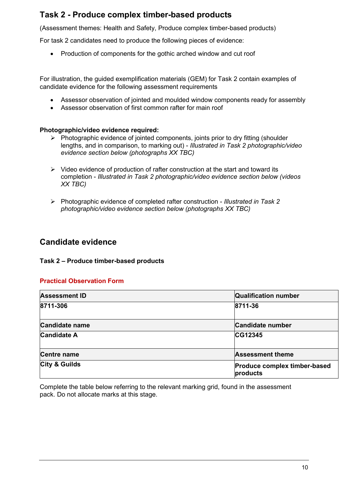## <span id="page-9-0"></span>**Task 2 - Produce complex timber-based products**

(Assessment themes: Health and Safety, Produce complex timber-based products)

For task 2 candidates need to produce the following pieces of evidence:

• Production of components for the gothic arched window and cut roof

For illustration, the guided exemplification materials (GEM) for Task 2 contain examples of candidate evidence for the following assessment requirements

- Assessor observation of jointed and moulded window components ready for assembly
- Assessor observation of first common rafter for main roof

#### **Photographic/video evidence required:**

- $\triangleright$  Photographic evidence of jointed components, joints prior to dry fitting (shoulder lengths, and in comparison, to marking out) - *Illustrated in Task 2 photographic/video evidence section below (photographs XX TBC)*
- $\triangleright$  Video evidence of production of rafter construction at the start and toward its completion - *Illustrated in Task 2 photographic/video evidence section below (videos XX TBC)*
- Photographic evidence of completed rafter construction *Illustrated in Task 2 photographic/video evidence section below (photographs XX TBC)*

## <span id="page-9-1"></span>**Candidate evidence**

#### <span id="page-9-2"></span>**Task 2 – Produce timber-based products**

#### **Practical Observation Form**

| <b>Assessment ID</b>     | <b>Qualification number</b>                     |
|--------------------------|-------------------------------------------------|
| 8711-306                 | 8711-36                                         |
| <b>Candidate name</b>    | <b>Candidate number</b>                         |
| <b>Candidate A</b>       | <b>CG12345</b>                                  |
| <b>Centre name</b>       | <b>Assessment theme</b>                         |
| <b>City &amp; Guilds</b> | <b>Produce complex timber-based</b><br>products |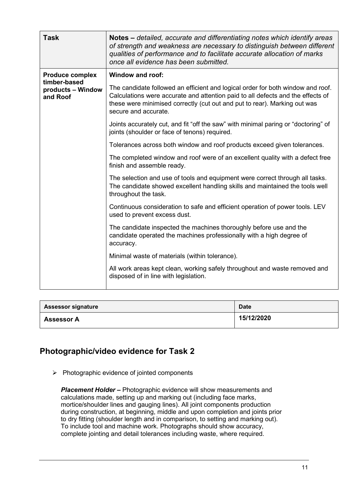| <b>Task</b>                            | Notes – detailed, accurate and differentiating notes which identify areas<br>of strength and weakness are necessary to distinguish between different<br>qualities of performance and to facilitate accurate allocation of marks                                         |
|----------------------------------------|-------------------------------------------------------------------------------------------------------------------------------------------------------------------------------------------------------------------------------------------------------------------------|
|                                        | once all evidence has been submitted.                                                                                                                                                                                                                                   |
| <b>Produce complex</b><br>timber-based | <b>Window and roof:</b>                                                                                                                                                                                                                                                 |
| products – Window<br>and Roof          | The candidate followed an efficient and logical order for both window and roof.<br>Calculations were accurate and attention paid to all defects and the effects of<br>these were minimised correctly (cut out and put to rear). Marking out was<br>secure and accurate. |
|                                        | Joints accurately cut, and fit "off the saw" with minimal paring or "doctoring" of<br>joints (shoulder or face of tenons) required.                                                                                                                                     |
|                                        | Tolerances across both window and roof products exceed given tolerances.                                                                                                                                                                                                |
|                                        | The completed window and roof were of an excellent quality with a defect free<br>finish and assemble ready.                                                                                                                                                             |
|                                        | The selection and use of tools and equipment were correct through all tasks.<br>The candidate showed excellent handling skills and maintained the tools well<br>throughout the task.                                                                                    |
|                                        | Continuous consideration to safe and efficient operation of power tools. LEV<br>used to prevent excess dust.                                                                                                                                                            |
|                                        | The candidate inspected the machines thoroughly before use and the<br>candidate operated the machines professionally with a high degree of<br>accuracy.                                                                                                                 |
|                                        | Minimal waste of materials (within tolerance).                                                                                                                                                                                                                          |
|                                        | All work areas kept clean, working safely throughout and waste removed and<br>disposed of in line with legislation.                                                                                                                                                     |

| <b>Assessor signature</b> | <b>Date</b> |
|---------------------------|-------------|
| <b>Assessor A</b>         | 15/12/2020  |

## <span id="page-10-0"></span>**Photographic/video evidence for Task 2**

 $\triangleright$  Photographic evidence of jointed components

*Placement Holder –* Photographic evidence will show measurements and calculations made, setting up and marking out (including face marks, mortice/shoulder lines and gauging lines). All joint components production during construction, at beginning, middle and upon completion and joints prior to dry fitting (shoulder length and in comparison, to setting and marking out). To include tool and machine work. Photographs should show accuracy, complete jointing and detail tolerances including waste, where required.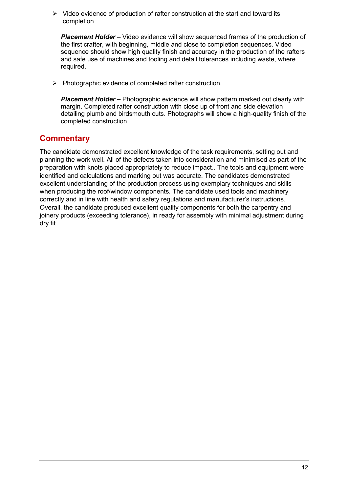$\triangleright$  Video evidence of production of rafter construction at the start and toward its completion

*Placement Holder* – Video evidence will show sequenced frames of the production of the first crafter, with beginning, middle and close to completion sequences. Video sequence should show high quality finish and accuracy in the production of the rafters and safe use of machines and tooling and detail tolerances including waste, where required.

 $\triangleright$  Photographic evidence of completed rafter construction.

**Placement Holder –** Photographic evidence will show pattern marked out clearly with margin. Completed rafter construction with close up of front and side elevation detailing plumb and birdsmouth cuts. Photographs will show a high-quality finish of the completed construction.

## <span id="page-11-0"></span>**Commentary**

The candidate demonstrated excellent knowledge of the task requirements, setting out and planning the work well. All of the defects taken into consideration and minimised as part of the preparation with knots placed appropriately to reduce impact.. The tools and equipment were identified and calculations and marking out was accurate. The candidates demonstrated excellent understanding of the production process using exemplary techniques and skills when producing the roof/window components. The candidate used tools and machinery correctly and in line with health and safety regulations and manufacturer's instructions. Overall, the candidate produced excellent quality components for both the carpentry and joinery products (exceeding tolerance), in ready for assembly with minimal adjustment during dry fit.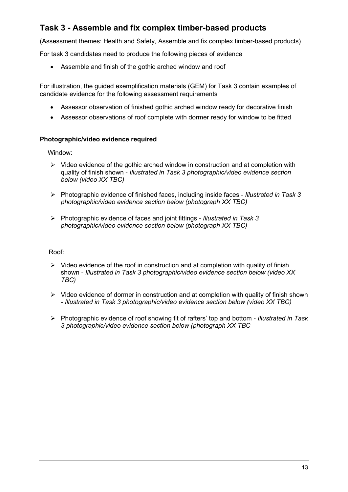# <span id="page-12-0"></span>**Task 3 - Assemble and fix complex timber-based products**

(Assessment themes: Health and Safety, Assemble and fix complex timber-based products)

For task 3 candidates need to produce the following pieces of evidence

• Assemble and finish of the gothic arched window and roof

For illustration, the guided exemplification materials (GEM) for Task 3 contain examples of candidate evidence for the following assessment requirements

- Assessor observation of finished gothic arched window ready for decorative finish
- Assessor observations of roof complete with dormer ready for window to be fitted

#### **Photographic/video evidence required**

Window:

- $\triangleright$  Video evidence of the gothic arched window in construction and at completion with quality of finish shown - *Illustrated in Task 3 photographic/video evidence section below (video XX TBC)*
- Photographic evidence of finished faces, including inside faces *Illustrated in Task 3 photographic/video evidence section below (photograph XX TBC)*
- Photographic evidence of faces and joint fittings *Illustrated in Task 3 photographic/video evidence section below (photograph XX TBC)*

Roof:

- $\triangleright$  Video evidence of the roof in construction and at completion with quality of finish shown - *Illustrated in Task 3 photographic/video evidence section below (video XX TBC)*
- $\triangleright$  Video evidence of dormer in construction and at completion with quality of finish shown - *Illustrated in Task 3 photographic/video evidence section below (video XX TBC)*
- Photographic evidence of roof showing fit of rafters' top and bottom *Illustrated in Task 3 photographic/video evidence section below (photograph XX TBC*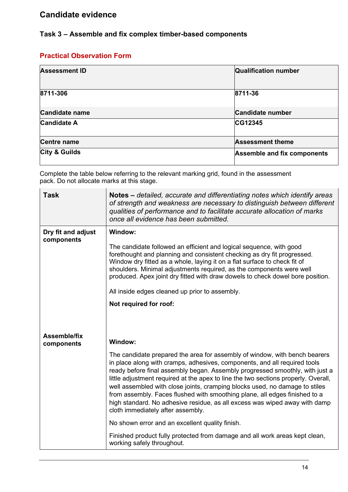## <span id="page-13-1"></span><span id="page-13-0"></span>**Task 3 – Assemble and fix complex timber-based components**

## **Practical Observation Form**

| <b>Assessment ID</b>     | <b>Qualification number</b>        |
|--------------------------|------------------------------------|
| 8711-306                 | 8711-36                            |
| <b>Candidate name</b>    | <b>Candidate number</b>            |
| <b>Candidate A</b>       | CG12345                            |
| <b>Centre name</b>       | <b>Assessment theme</b>            |
| <b>City &amp; Guilds</b> | <b>Assemble and fix components</b> |

| <b>Task</b>                       | Notes – detailed, accurate and differentiating notes which identify areas<br>of strength and weakness are necessary to distinguish between different<br>qualities of performance and to facilitate accurate allocation of marks<br>once all evidence has been submitted.                                                                                                                                                                                                                                                                                                                                      |  |  |
|-----------------------------------|---------------------------------------------------------------------------------------------------------------------------------------------------------------------------------------------------------------------------------------------------------------------------------------------------------------------------------------------------------------------------------------------------------------------------------------------------------------------------------------------------------------------------------------------------------------------------------------------------------------|--|--|
| Dry fit and adjust<br>components  | Window:<br>The candidate followed an efficient and logical sequence, with good<br>forethought and planning and consistent checking as dry fit progressed.                                                                                                                                                                                                                                                                                                                                                                                                                                                     |  |  |
|                                   | Window dry fitted as a whole, laying it on a flat surface to check fit of<br>shoulders. Minimal adjustments required, as the components were well<br>produced. Apex joint dry fitted with draw dowels to check dowel bore position.                                                                                                                                                                                                                                                                                                                                                                           |  |  |
|                                   | All inside edges cleaned up prior to assembly.                                                                                                                                                                                                                                                                                                                                                                                                                                                                                                                                                                |  |  |
|                                   | Not required for roof:                                                                                                                                                                                                                                                                                                                                                                                                                                                                                                                                                                                        |  |  |
|                                   |                                                                                                                                                                                                                                                                                                                                                                                                                                                                                                                                                                                                               |  |  |
| <b>Assemble/fix</b><br>components | Window:                                                                                                                                                                                                                                                                                                                                                                                                                                                                                                                                                                                                       |  |  |
|                                   | The candidate prepared the area for assembly of window, with bench bearers<br>in place along with cramps, adhesives, components, and all required tools<br>ready before final assembly began. Assembly progressed smoothly, with just a<br>little adjustment required at the apex to line the two sections properly. Overall,<br>well assembled with close joints, cramping blocks used, no damage to stiles<br>from assembly. Faces flushed with smoothing plane, all edges finished to a<br>high standard. No adhesive residue, as all excess was wiped away with damp<br>cloth immediately after assembly. |  |  |
|                                   | No shown error and an excellent quality finish.                                                                                                                                                                                                                                                                                                                                                                                                                                                                                                                                                               |  |  |
|                                   | Finished product fully protected from damage and all work areas kept clean,<br>working safely throughout.                                                                                                                                                                                                                                                                                                                                                                                                                                                                                                     |  |  |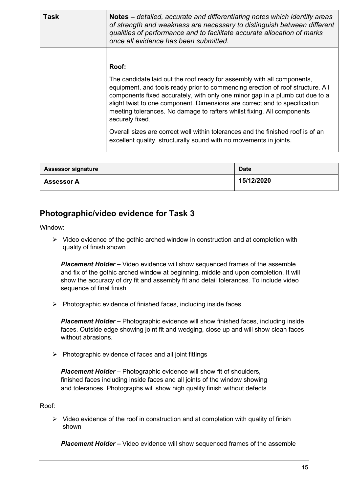| <b>Task</b> | Notes – detailed, accurate and differentiating notes which identify areas<br>of strength and weakness are necessary to distinguish between different<br>qualities of performance and to facilitate accurate allocation of marks<br>once all evidence has been submitted.                                                                                                                                             |
|-------------|----------------------------------------------------------------------------------------------------------------------------------------------------------------------------------------------------------------------------------------------------------------------------------------------------------------------------------------------------------------------------------------------------------------------|
|             | Roof:                                                                                                                                                                                                                                                                                                                                                                                                                |
|             | The candidate laid out the roof ready for assembly with all components,<br>equipment, and tools ready prior to commencing erection of roof structure. All<br>components fixed accurately, with only one minor gap in a plumb cut due to a<br>slight twist to one component. Dimensions are correct and to specification<br>meeting tolerances. No damage to rafters whilst fixing. All components<br>securely fixed. |
|             | Overall sizes are correct well within tolerances and the finished roof is of an<br>excellent quality, structurally sound with no movements in joints.                                                                                                                                                                                                                                                                |

| <b>Assessor signature</b> | <b>Date</b> |
|---------------------------|-------------|
| <b>Assessor A</b>         | 15/12/2020  |

## <span id="page-14-0"></span>**Photographic/video evidence for Task 3**

Window:

 $\triangleright$  Video evidence of the gothic arched window in construction and at completion with quality of finish shown

*Placement Holder –* Video evidence will show sequenced frames of the assemble and fix of the gothic arched window at beginning, middle and upon completion. It will show the accuracy of dry fit and assembly fit and detail tolerances. To include video sequence of final finish

 $\triangleright$  Photographic evidence of finished faces, including inside faces

*Placement Holder –* Photographic evidence will show finished faces, including inside faces. Outside edge showing joint fit and wedging, close up and will show clean faces without abrasions.

 $\triangleright$  Photographic evidence of faces and all joint fittings

*Placement Holder –* Photographic evidence will show fit of shoulders, finished faces including inside faces and all joints of the window showing and tolerances. Photographs will show high quality finish without defects

Roof:

 $\triangleright$  Video evidence of the roof in construction and at completion with quality of finish shown

*Placement Holder –* Video evidence will show sequenced frames of the assemble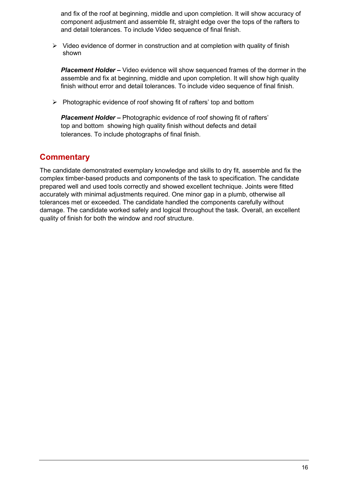and fix of the roof at beginning, middle and upon completion. It will show accuracy of component adjustment and assemble fit, straight edge over the tops of the rafters to and detail tolerances. To include Video sequence of final finish.

 $\triangleright$  Video evidence of dormer in construction and at completion with quality of finish shown

*Placement Holder –* Video evidence will show sequenced frames of the dormer in the assemble and fix at beginning, middle and upon completion. It will show high quality finish without error and detail tolerances. To include video sequence of final finish.

 $\triangleright$  Photographic evidence of roof showing fit of rafters' top and bottom

*Placement Holder –* Photographic evidence of roof showing fit of rafters' top and bottom showing high quality finish without defects and detail tolerances. To include photographs of final finish.

## <span id="page-15-0"></span>**Commentary**

The candidate demonstrated exemplary knowledge and skills to dry fit, assemble and fix the complex timber-based products and components of the task to specification. The candidate prepared well and used tools correctly and showed excellent technique. Joints were fitted accurately with minimal adjustments required. One minor gap in a plumb, otherwise all tolerances met or exceeded. The candidate handled the components carefully without damage. The candidate worked safely and logical throughout the task. Overall, an excellent quality of finish for both the window and roof structure.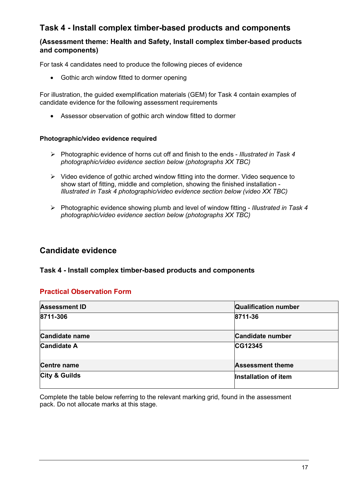# <span id="page-16-0"></span>**Task 4 - Install complex timber-based products and components**

## **(Assessment theme: Health and Safety, Install complex timber-based products and components)**

For task 4 candidates need to produce the following pieces of evidence

• Gothic arch window fitted to dormer opening

For illustration, the guided exemplification materials (GEM) for Task 4 contain examples of candidate evidence for the following assessment requirements

• Assessor observation of gothic arch window fitted to dormer

#### **Photographic/video evidence required**

- Photographic evidence of horns cut off and finish to the ends *Illustrated in Task 4 photographic/video evidence section below (photographs XX TBC)*
- $\triangleright$  Video evidence of gothic arched window fitting into the dormer. Video sequence to show start of fitting, middle and completion, showing the finished installation - *Illustrated in Task 4 photographic/video evidence section below (video XX TBC)*
- Photographic evidence showing plumb and level of window fitting *Illustrated in Task 4 photographic/video evidence section below (photographs XX TBC)*

## <span id="page-16-1"></span>**Candidate evidence**

#### <span id="page-16-2"></span>**Task 4 - Install complex timber-based products and components**

## **Practical Observation Form**

| <b>Assessment ID</b>     | <b>Qualification number</b> |
|--------------------------|-----------------------------|
| 8711-306                 | 8711-36                     |
| <b>Candidate name</b>    | Candidate number            |
| <b>Candidate A</b>       | <b>CG12345</b>              |
| <b>Centre name</b>       | <b>Assessment theme</b>     |
| <b>City &amp; Guilds</b> | Installation of item        |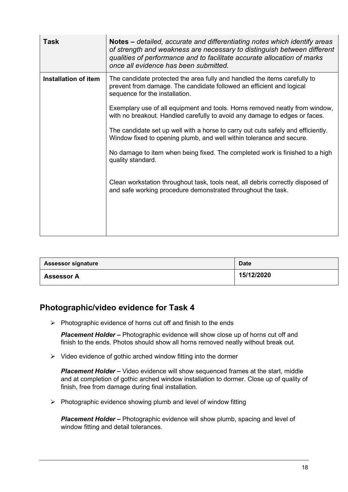| <b>Task</b>          | Notes – detailed, accurate and differentiating notes which identify areas<br>of strength and weakness are necessary to distinguish between different<br>qualities of performance and to facilitate accurate allocation of marks<br>once all evidence has been submitted.                                                                                                                                                                                                                                                                                                                                                                                                                                                                                             |
|----------------------|----------------------------------------------------------------------------------------------------------------------------------------------------------------------------------------------------------------------------------------------------------------------------------------------------------------------------------------------------------------------------------------------------------------------------------------------------------------------------------------------------------------------------------------------------------------------------------------------------------------------------------------------------------------------------------------------------------------------------------------------------------------------|
| Installation of item | The candidate protected the area fully and handled the items carefully to<br>prevent from damage. The candidate followed an efficient and logical<br>sequence for the installation.<br>Exemplary use of all equipment and tools. Horns removed neatly from window,<br>with no breakout. Handled carefully to avoid any damage to edges or faces.<br>The candidate set up well with a horse to carry out cuts safely and efficiently.<br>Window fixed to opening plumb, and well within tolerance and secure.<br>No damage to item when being fixed. The completed work is finished to a high<br>quality standard.<br>Clean workstation throughout task, tools neat, all debris correctly disposed of<br>and safe working procedure demonstrated throughout the task. |
|                      |                                                                                                                                                                                                                                                                                                                                                                                                                                                                                                                                                                                                                                                                                                                                                                      |

| <b>Assessor signature</b> | <b>Date</b> |
|---------------------------|-------------|
| <b>Assessor A</b>         | 15/12/2020  |

## <span id="page-17-0"></span>**Photographic/video evidence for Task 4**

 $\triangleright$  Photographic evidence of horns cut off and finish to the ends

*Placement Holder –* Photographic evidence will show close up of horns cut off and finish to the ends. Photos should show all horns removed neatly without break out.

 $\triangleright$  Video evidence of gothic arched window fitting into the dormer

*Placement Holder –* Video evidence will show sequenced frames at the start, middle and at completion of gothic arched window installation to dormer. Close up of quality of finish, free from damage during final installation.

 $\triangleright$  Photographic evidence showing plumb and level of window fitting

*Placement Holder –* Photographic evidence will show plumb, spacing and level of window fitting and detail tolerances.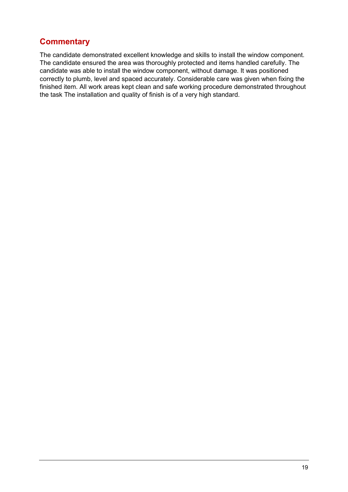## <span id="page-18-0"></span>**Commentary**

The candidate demonstrated excellent knowledge and skills to install the window component. The candidate ensured the area was thoroughly protected and items handled carefully. The candidate was able to install the window component, without damage. It was positioned correctly to plumb, level and spaced accurately. Considerable care was given when fixing the finished item. All work areas kept clean and safe working procedure demonstrated throughout the task The installation and quality of finish is of a very high standard.